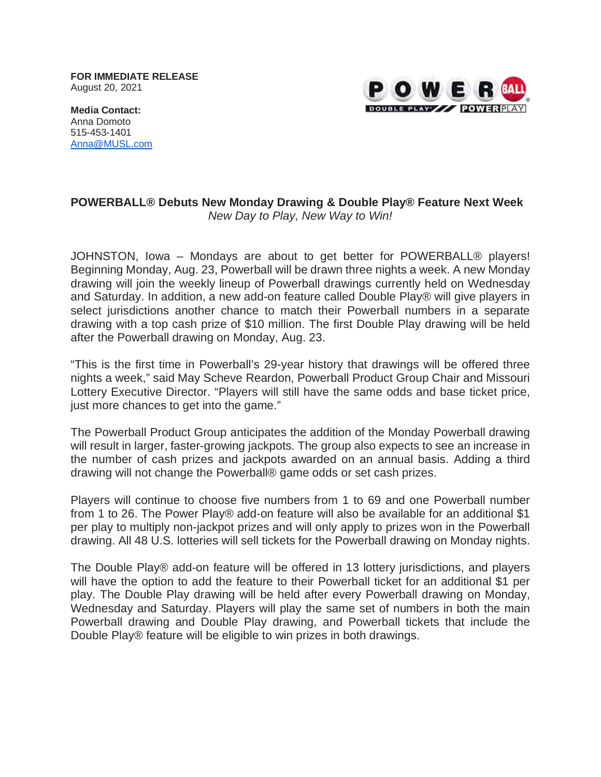**FOR IMMEDIATE RELEASE** August 20, 2021



**Media Contact:** Anna Domoto 515-453-1401 [Anna@MUSL.com](mailto:Anna@MUSL.com)

## **POWERBALL® Debuts New Monday Drawing & Double Play® Feature Next Week** *New Day to Play, New Way to Win!*

JOHNSTON, Iowa – Mondays are about to get better for POWERBALL® players! Beginning Monday, Aug. 23, Powerball will be drawn three nights a week. A new Monday drawing will join the weekly lineup of Powerball drawings currently held on Wednesday and Saturday. In addition, a new add-on feature called Double Play® will give players in select jurisdictions another chance to match their Powerball numbers in a separate drawing with a top cash prize of \$10 million. The first Double Play drawing will be held after the Powerball drawing on Monday, Aug. 23.

"This is the first time in Powerball's 29-year history that drawings will be offered three nights a week," said May Scheve Reardon, Powerball Product Group Chair and Missouri Lottery Executive Director. "Players will still have the same odds and base ticket price, just more chances to get into the game."

The Powerball Product Group anticipates the addition of the Monday Powerball drawing will result in larger, faster-growing jackpots. The group also expects to see an increase in the number of cash prizes and jackpots awarded on an annual basis. Adding a third drawing will not change the Powerball® game odds or set cash prizes.

Players will continue to choose five numbers from 1 to 69 and one Powerball number from 1 to 26. The Power Play® add-on feature will also be available for an additional \$1 per play to multiply non-jackpot prizes and will only apply to prizes won in the Powerball drawing. All 48 U.S. lotteries will sell tickets for the Powerball drawing on Monday nights.

The Double Play® add-on feature will be offered in 13 lottery jurisdictions, and players will have the option to add the feature to their Powerball ticket for an additional \$1 per play. The Double Play drawing will be held after every Powerball drawing on Monday, Wednesday and Saturday. Players will play the same set of numbers in both the main Powerball drawing and Double Play drawing, and Powerball tickets that include the Double Play® feature will be eligible to win prizes in both drawings.